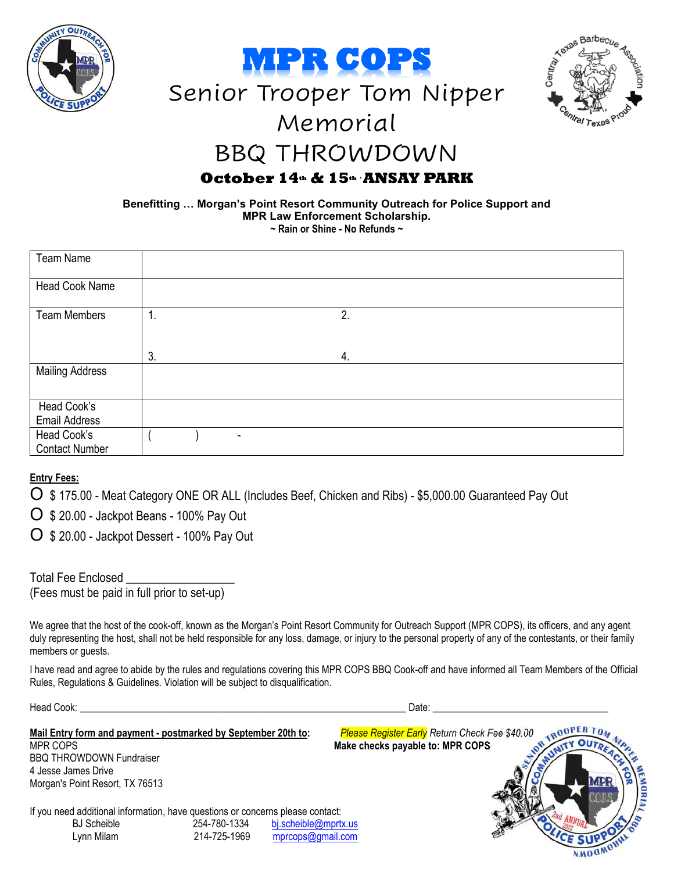







## BBQ THROWDOWN

## **October 14th & 15th** ▪**ANSAY PARK**

**Benefitting … Morgan's Point Resort Community Outreach for Police Support and MPR Law Enforcement Scholarship. ~ Rain or Shine - No Refunds ~** 

| Team Name              |                |   |    |  |  |
|------------------------|----------------|---|----|--|--|
|                        |                |   |    |  |  |
|                        |                |   |    |  |  |
| Head Cook Name         |                |   |    |  |  |
|                        |                |   |    |  |  |
|                        |                |   |    |  |  |
| <b>Team Members</b>    | $\mathbf{1}$ . |   | 2. |  |  |
|                        |                |   |    |  |  |
|                        |                |   |    |  |  |
|                        |                |   |    |  |  |
|                        |                |   |    |  |  |
|                        | 3.             |   | 4. |  |  |
| <b>Mailing Address</b> |                |   |    |  |  |
|                        |                |   |    |  |  |
|                        |                |   |    |  |  |
|                        |                |   |    |  |  |
| Head Cook's            |                |   |    |  |  |
|                        |                |   |    |  |  |
| <b>Email Address</b>   |                |   |    |  |  |
| Head Cook's            |                | ٠ |    |  |  |
|                        |                |   |    |  |  |
| <b>Contact Number</b>  |                |   |    |  |  |
|                        |                |   |    |  |  |

### **Entry Fees:**

O \$ 175.00 - Meat Category ONE OR ALL (Includes Beef, Chicken and Ribs) - \$5,000.00 Guaranteed Pay Out

O \$ 20.00 - Jackpot Beans - 100% Pay Out

O \$ 20.00 - Jackpot Dessert - 100% Pay Out

| <b>Total Fee Enclosed</b> |                                             |
|---------------------------|---------------------------------------------|
|                           | (Fees must be paid in full prior to set-up) |

We agree that the host of the cook-off, known as the Morgan's Point Resort Community for Outreach Support (MPR COPS), its officers, and any agent duly representing the host, shall not be held responsible for any loss, damage, or injury to the personal property of any of the contestants, or their family members or guests.

I have read and agree to abide by the rules and regulations covering this MPR COPS BBQ Cook-off and have informed all Team Members of the Official Rules, Regulations & Guidelines. Violation will be subject to disqualification.

Head Cook: \_\_\_\_\_\_\_\_\_\_\_\_\_\_\_\_\_\_\_\_\_\_\_\_\_\_\_\_\_\_\_\_\_\_\_\_\_\_\_\_\_\_\_\_\_\_\_\_\_\_\_\_\_\_\_\_\_\_\_\_\_\_\_\_\_ Date: \_\_\_\_\_\_\_\_\_\_\_\_\_\_\_\_\_\_\_\_\_\_\_\_\_\_\_\_\_\_\_\_\_\_\_

**Mail Entry form and payment - postmarked by September 20th to:** *Please Register Early Return Check Fee \$40.00*  BBQ THROWDOWN Fundraiser 4 Jesse James Drive Morgan's Point Resort, TX 76513

If you need additional information, have questions or concerns please contact:

| <b>BJ</b> Scheible | 254-780-1334 | bj.scheible@mprtx.us |
|--------------------|--------------|----------------------|
| Lynn Milam         | 214-725-1969 | mprcops@gmail.com    |